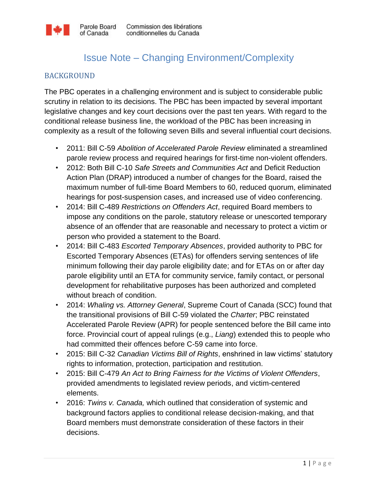## Issue Note – Changing Environment/Complexity

## BACKGROUND

The PBC operates in a challenging environment and is subject to considerable public scrutiny in relation to its decisions. The PBC has been impacted by several important legislative changes and key court decisions over the past ten years. With regard to the conditional release business line, the workload of the PBC has been increasing in complexity as a result of the following seven Bills and several influential court decisions.

- 2011: Bill C-59 *Abolition of Accelerated Parole Review* eliminated a streamlined parole review process and required hearings for first-time non-violent offenders.
- 2012: Both Bill C-10 *Safe Streets and Communities Act* and Deficit Reduction Action Plan (DRAP) introduced a number of changes for the Board, raised the maximum number of full-time Board Members to 60, reduced quorum, eliminated hearings for post-suspension cases, and increased use of video conferencing.
- 2014: Bill C-489 *Restrictions on Offenders Act*, required Board members to impose any conditions on the parole, statutory release or unescorted temporary absence of an offender that are reasonable and necessary to protect a victim or person who provided a statement to the Board.
- 2014: Bill C-483 *Escorted Temporary Absences*, provided authority to PBC for Escorted Temporary Absences (ETAs) for offenders serving sentences of life minimum following their day parole eligibility date; and for ETAs on or after day parole eligibility until an ETA for community service, family contact, or personal development for rehabilitative purposes has been authorized and completed without breach of condition.
- 2014: *Whaling vs. Attorney General*, Supreme Court of Canada (SCC) found that the transitional provisions of Bill C-59 violated the *Charter*; PBC reinstated Accelerated Parole Review (APR) for people sentenced before the Bill came into force. Provincial court of appeal rulings (e.g., *Liang*) extended this to people who had committed their offences before C-59 came into force.
- 2015: Bill C-32 *Canadian Victims Bill of Rights*, enshrined in law victims' statutory rights to information, protection, participation and restitution.
- 2015: Bill C-479 *An Act to Bring Fairness for the Victims of Violent Offenders*, provided amendments to legislated review periods, and victim-centered elements.
- 2016: *Twins v. Canada,* which outlined that consideration of systemic and background factors applies to conditional release decision-making, and that Board members must demonstrate consideration of these factors in their decisions.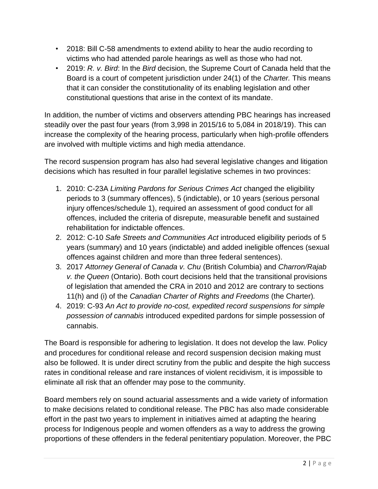- 2018: Bill C-58 amendments to extend ability to hear the audio recording to victims who had attended parole hearings as well as those who had not.
- 2019: *R. v. Bird*: In the *Bird* decision, the Supreme Court of Canada held that the Board is a court of competent jurisdiction under 24(1) of the *Charter.* This means that it can consider the constitutionality of its enabling legislation and other constitutional questions that arise in the context of its mandate.

In addition, the number of victims and observers attending PBC hearings has increased steadily over the past four years (from 3,998 in 2015/16 to 5,084 in 2018/19). This can increase the complexity of the hearing process, particularly when high-profile offenders are involved with multiple victims and high media attendance.

The record suspension program has also had several legislative changes and litigation decisions which has resulted in four parallel legislative schemes in two provinces:

- 1. 2010: C-23A *Limiting Pardons for Serious Crimes Act* changed the eligibility periods to 3 (summary offences), 5 (indictable), or 10 years (serious personal injury offences/schedule 1), required an assessment of good conduct for all offences, included the criteria of disrepute, measurable benefit and sustained rehabilitation for indictable offences.
- 2. 2012: C-10 *Safe Streets and Communities Act* introduced eligibility periods of 5 years (summary) and 10 years (indictable) and added ineligible offences (sexual offences against children and more than three federal sentences).
- 3. 2017 *Attorney General of Canada v. Chu* (British Columbia) and *Charron/Rajab v. the Queen* (Ontario). Both court decisions held that the transitional provisions of legislation that amended the CRA in 2010 and 2012 are contrary to sections 11(h) and (i) of the *Canadian Charter of Rights and Freedoms* (the Charter)*.*
- 4. 2019: C-93 *An Act to provide no-cost, expedited record suspensions for simple possession of cannabis* introduced expedited pardons for simple possession of cannabis.

The Board is responsible for adhering to legislation. It does not develop the law. Policy and procedures for conditional release and record suspension decision making must also be followed. It is under direct scrutiny from the public and despite the high success rates in conditional release and rare instances of violent recidivism, it is impossible to eliminate all risk that an offender may pose to the community.

Board members rely on sound actuarial assessments and a wide variety of information to make decisions related to conditional release. The PBC has also made considerable effort in the past two years to implement in initiatives aimed at adapting the hearing process for Indigenous people and women offenders as a way to address the growing proportions of these offenders in the federal penitentiary population. Moreover, the PBC